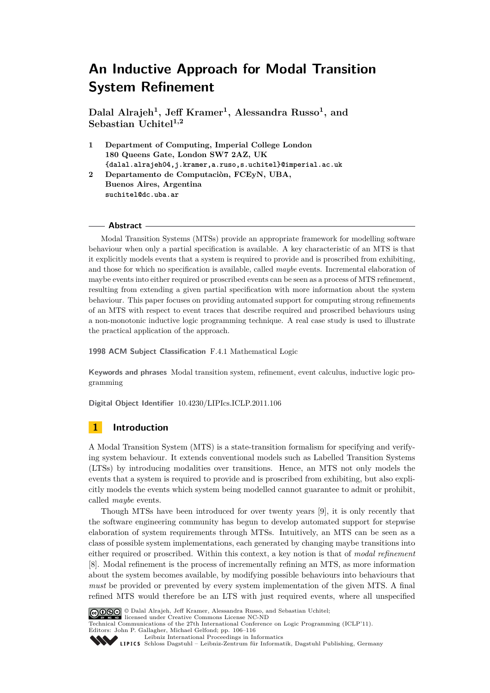**Dalal Alrajeh<sup>1</sup> , Jeff Kramer<sup>1</sup> , Alessandra Russo<sup>1</sup> , and Sebastian Uchitel1,2**

- **1 Department of Computing, Imperial College London 180 Queens Gate, London SW7 2AZ, UK {dalal.alrajeh04,j.kramer,a.ruso,s.uchitel}@imperial.ac.uk**
- **2 Departamento de Computaciòn, FCEyN, UBA, Buenos Aires, Argentina suchitel@dc.uba.ar**

## **Abstract**

Modal Transition Systems (MTSs) provide an appropriate framework for modelling software behaviour when only a partial specification is available. A key characteristic of an MTS is that it explicitly models events that a system is required to provide and is proscribed from exhibiting, and those for which no specification is available, called *maybe* events. Incremental elaboration of maybe events into either required or proscribed events can be seen as a process of MTS refinement, resulting from extending a given partial specification with more information about the system behaviour. This paper focuses on providing automated support for computing strong refinements of an MTS with respect to event traces that describe required and proscribed behaviours using a non-monotonic inductive logic programming technique. A real case study is used to illustrate the practical application of the approach.

**1998 ACM Subject Classification** F.4.1 Mathematical Logic

**Keywords and phrases** Modal transition system, refinement, event calculus, inductive logic programming

**Digital Object Identifier** [10.4230/LIPIcs.ICLP.2011.106](http://dx.doi.org/10.4230/LIPIcs.ICLP.2011.106)

# **1 Introduction**

A Modal Transition System (MTS) is a state-transition formalism for specifying and verifying system behaviour. It extends conventional models such as Labelled Transition Systems (LTSs) by introducing modalities over transitions. Hence, an MTS not only models the events that a system is required to provide and is proscribed from exhibiting, but also explicitly models the events which system being modelled cannot guarantee to admit or prohibit, called *maybe* events.

Though MTSs have been introduced for over twenty years [\[9\]](#page-10-0), it is only recently that the software engineering community has begun to develop automated support for stepwise elaboration of system requirements through MTSs. Intuitively, an MTS can be seen as a class of possible system implementations, each generated by changing maybe transitions into either required or proscribed. Within this context, a key notion is that of *modal refinement* [\[8\]](#page-10-1). Modal refinement is the process of incrementally refining an MTS, as more information about the system becomes available, by modifying possible behaviours into behaviours that *must* be provided or prevented by every system implementation of the given MTS. A final refined MTS would therefore be an LTS with just required events, where all unspecified



© Dalal Alrajeh, Jeff Kramer, Alessandra Russo, and Sebastian Uchitel; licensed under Creative Commons License NC-ND

Technical Communications of the 27th International Conference on Logic Programming (ICLP'11).

Editors: John P. Gallagher, Michael Gelfond; pp. 106[–116](#page-10-2) [Leibniz International Proceedings in Informatics](http://www.dagstuhl.de/lipics/)

Leibniz international Froceedings in informatik, Dagstuhl Publishing, Germany<br>LIPICS [Schloss Dagstuhl – Leibniz-Zentrum für Informatik, Dagstuhl Publishing, Germany](http://www.dagstuhl.de)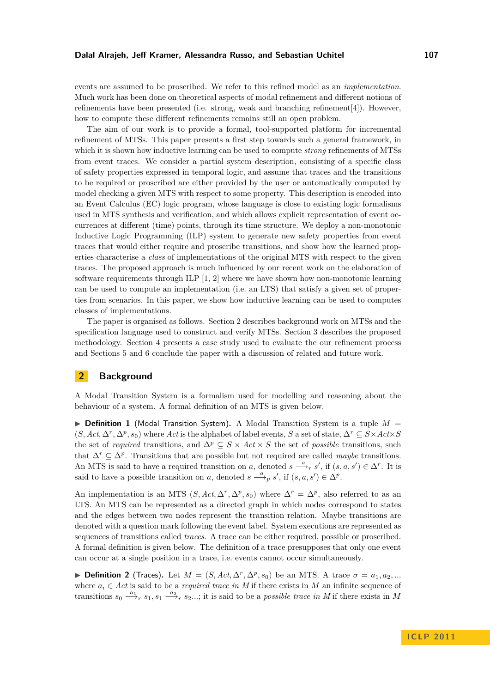#### **Dalal Alrajeh, Jeff Kramer, Alessandra Russo, and Sebastian Uchitel 107**

events are assumed to be proscribed. We refer to this refined model as an *implementation*. Much work has been done on theoretical aspects of modal refinement and different notions of refinements have been presented (i.e. strong, weak and branching refinement[\[4\]](#page-10-3)). However, how to compute these different refinements remains still an open problem.

The aim of our work is to provide a formal, tool-supported platform for incremental refinement of MTSs. This paper presents a first step towards such a general framework, in which it is shown how inductive learning can be used to compute *strong* refinements of MTSs from event traces. We consider a partial system description, consisting of a specific class of safety properties expressed in temporal logic, and assume that traces and the transitions to be required or proscribed are either provided by the user or automatically computed by model checking a given MTS with respect to some property. This description is encoded into an Event Calculus (EC) logic program, whose language is close to existing logic formalisms used in MTS synthesis and verification, and which allows explicit representation of event occurrences at different (time) points, through its time structure. We deploy a non-monotonic Inductive Logic Programming (ILP) system to generate new safety properties from event traces that would either require and proscribe transitions, and show how the learned properties characterise a *class* of implementations of the original MTS with respect to the given traces. The proposed approach is much influenced by our recent work on the elaboration of software requirements through ILP  $[1, 2]$  $[1, 2]$  where we have shown how non-monotonic learning can be used to compute an implementation (i.e. an LTS) that satisfy a given set of properties from scenarios. In this paper, we show how inductive learning can be used to computes classes of implementations.

The paper is organised as follows. Section 2 describes background work on MTSs and the specification language used to construct and verify MTSs. Section 3 describes the proposed methodology. Section 4 presents a case study used to evaluate the our refinement process and Sections 5 and 6 conclude the paper with a discussion of related and future work.

## **2 Background**

A Modal Transition System is a formalism used for modelling and reasoning about the behaviour of a system. A formal definition of an MTS is given below.

 $\triangleright$  **Definition 1** (Modal Transition System). A Modal Transition System is a tuple  $M =$  $(S, Act, \Delta^r, \Delta^p, s_0)$  where *Act* is the alphabet of label events, *S* a set of state,  $\Delta^r \subseteq S \times Act \times S$ the set of *required* transitions, and  $\Delta^p \subseteq S \times Act \times S$  the set of *possible* transitions, such that  $\Delta^r \subseteq \Delta^p$ . Transitions that are possible but not required are called *maybe* transitions. An MTS is said to have a required transition on *a*, denoted  $s \stackrel{a}{\longrightarrow}_r s'$ , if  $(s, a, s') \in \Delta^r$ . It is said to have a possible transition on *a*, denoted  $s \stackrel{a}{\longrightarrow}_p s'$ , if  $(s, a, s') \in \Delta^p$ .

An implementation is an MTS  $(S, Act, \Delta^r, \Delta^p, s_0)$  where  $\Delta^r = \Delta^p$ , also referred to as an LTS. An MTS can be represented as a directed graph in which nodes correspond to states and the edges between two nodes represent the transition relation. Maybe transitions are denoted with a question mark following the event label. System executions are represented as sequences of transitions called *traces*. A trace can be either required, possible or proscribed. A formal definition is given below. The definition of a trace presupposes that only one event can occur at a single position in a trace, i.e. events cannot occur simultaneously.

 $▶$  **Definition 2** (Traces). Let  $M = (S, Act, \Delta^r, \Delta^p, s_0)$  be an MTS. A trace  $σ = a_1, a_2, ...$ where  $a_i \in Act$  is said to be a *required trace in* M if there exists in M an infinite sequence of transitions  $s_0 \stackrel{a_1}{\longrightarrow}_r s_1, s_1 \stackrel{a_2}{\longrightarrow}_r s_2...$ ; it is said to be a *possible trace in M* if there exists in M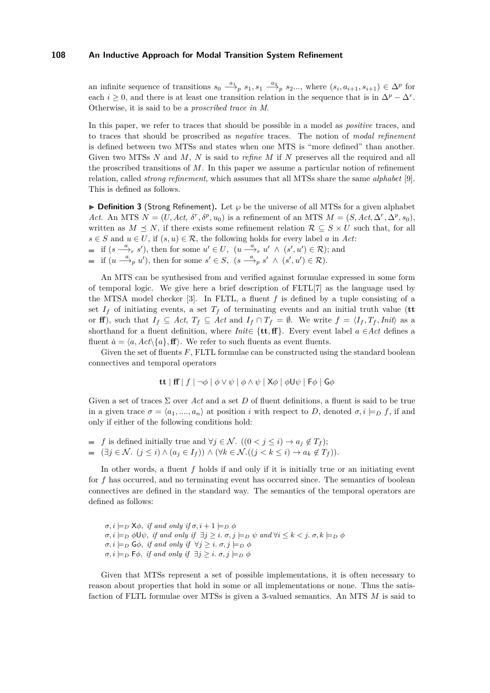an infinite sequence of transitions  $s_0 \stackrel{a_1}{\longrightarrow}_p s_1, s_1 \stackrel{a_2}{\longrightarrow}_p s_2...$ , where  $(s_i, a_{i+1}, s_{i+1}) \in \Delta^p$  for each  $i \geq 0$ , and there is at least one transition relation in the sequence that is in  $\Delta^p - \Delta^r$ . Otherwise, it is said to be a *proscribed trace in M*.

In this paper, we refer to traces that should be possible in a model as *positive* traces, and to traces that should be proscribed as *negative* traces. The notion of *modal refinement* is defined between two MTSs and states when one MTS is "more defined" than another. Given two MTSs *N* and *M*, *N* is said to *refine M* if *N* preserves all the required and all the proscribed transitions of *M*. In this paper we assume a particular notion of refinement relation, called *strong refinement*, which assumes that all MTSs share the same *alphabet* [\[9\]](#page-10-0). This is defined as follows.

<span id="page-2-0"></span>**Definition 3** (Strong Refinement). Let  $\varphi$  be the universe of all MTSs for a given alphabet *Act*. An MTS  $N = (U, Act, \delta^r, \delta^p, u_0)$  is a refinement of an MTS  $M = (S, Act, \Delta^r, \Delta^p, s_0)$ , written as  $M \leq N$ , if there exists some refinement relation  $\mathcal{R} \subseteq S \times U$  such that, for all  $s \in S$  and  $u \in U$ , if  $(s, u) \in \mathcal{R}$ , the following holds for every label *a* in *Act*:

- if  $(s \stackrel{a}{\longrightarrow}_r s')$ , then for some  $u' \in U$ ,  $(u \stackrel{a}{\longrightarrow}_r u' \wedge (s', u') \in \mathcal{R})$ ; and
- if  $(u \stackrel{a}{\longrightarrow}_p u')$ , then for some  $s' \in S$ ,  $(s \stackrel{a}{\longrightarrow}_p s' \wedge (s', u') \in \mathcal{R})$ .

An MTS can be synthesised from and verified against formulae expressed in some form of temporal logic. We give here a brief description of FLTL[\[7\]](#page-10-6) as the language used by the MTSA model checker  $[3]$ . In FLTL, a fluent  $f$  is defined by a tuple consisting of a set  $I_f$  of initiating events, a set  $T_f$  of terminating events and an initial truth value (tt or **ff**), such that  $I_f \subseteq Act$ ,  $T_f \subseteq Act$  and  $I_f \cap T_f = \emptyset$ . We write  $f = \langle I_f, T_f, \text{Init} \rangle$  as a shorthand for a fluent definition, where *Init*∈  $\{tt, ff\}$ . Every event label *a* ∈*Act* defines a fluent  $\dot{a} = \langle a, Act \rangle \{a\}, \mathbf{f}\rangle$ . We refer to such fluents as event fluents.

Given the set of fluents  $F$ , FLTL formulae can be constructed using the standard boolean connectives and temporal operators

$$
\mathbf{t}\mathbf{t} \mid \mathbf{f}\mathbf{f} \mid f \mid \neg \phi \mid \phi \vee \psi \mid \phi \wedge \psi \mid \mathsf{X}\phi \mid \phi \mathsf{U}\psi \mid \mathsf{F}\phi \mid \mathsf{G}\phi
$$

Given a set of traces  $\Sigma$  over *Act* and a set *D* of fluent definitions, a fluent is said to be true in a given trace  $\sigma = \langle a_1, ..., a_n \rangle$  at position *i* with respect to *D*, denoted  $\sigma, i \models_D f$ , if and only if either of the following conditions hold:

 $f$  *is defined initially true and*  $\forall j \in \mathcal{N}$ *. ((0 < <i>j* ≤ *i*) → *a*<sub>*i*</sub> ∉ *T*<sub>*f*</sub>);  $\blacksquare$  (∃*j* ∈  $\mathcal{N}$ . (*j* ≤ *i*) ∧ ( $a_j$  ∈  $I_f$ )) ∧ ( $\forall k$  ∈  $\mathcal{N}$ .((*j* <  $k$  ≤ *i*) →  $a_k \notin T_f$ )).

In other words, a fluent f holds if and only if it is initially true or an initiating event for *f* has occurred, and no terminating event has occurred since. The semantics of boolean connectives are defined in the standard way. The semantics of the temporal operators are defined as follows:

 $\sigma, i \models_D \mathsf{X}\phi$ , *if and only if*  $\sigma, i+1 \models_D \phi$  $\sigma, i \models_D \phi \cup \psi$ , *if and only if*  $\exists j \geq i$ .  $\sigma, j \models_D \psi$  *and*  $\forall i \leq k < j$ .  $\sigma, k \models_D \phi$  $\sigma, i \models_D \mathsf{G}\phi$ , *if and only if*  $\forall j \geq i$ .  $\sigma, j \models_D \phi$  $\sigma, i \models_D \mathsf{F}\phi$ , *if and only if*  $\exists j \geq i$ .  $\sigma, j \models_D \phi$ 

Given that MTSs represent a set of possible implementations, it is often necessary to reason about properties that hold in some or all implementations or none. Thus the satisfaction of FLTL formulae over MTSs is given a 3-valued semantics. An MTS *M* is said to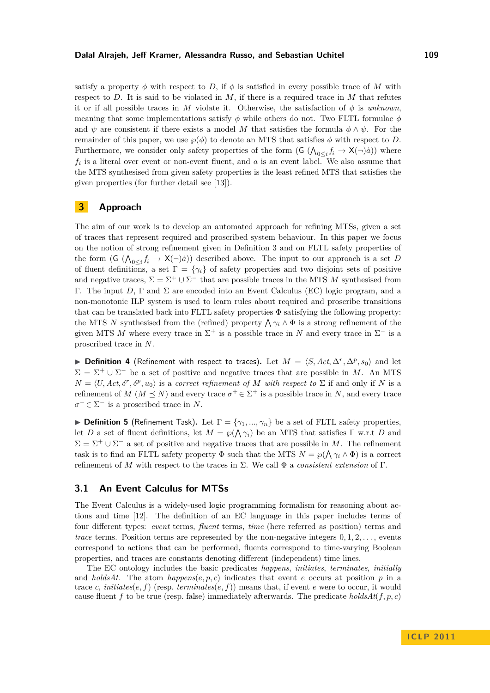#### **Dalal Alrajeh, Jeff Kramer, Alessandra Russo, and Sebastian Uchitel 109**

satisfy a property  $\phi$  with respect to *D*, if  $\phi$  is satisfied in every possible trace of *M* with respect to *D*. It is said to be violated in *M*, if there is a required trace in *M* that refutes it or if all possible traces in *M* violate it. Otherwise, the satisfaction of  $\phi$  is *unknown*, meaning that some implementations satisfy *φ* while others do not. Two FLTL formulae *φ* and  $\psi$  are consistent if there exists a model M that satisfies the formula  $\phi \wedge \psi$ . For the remainder of this paper, we use  $\wp(\phi)$  to denote an MTS that satisfies  $\phi$  with respect to *D*. Furthermore, we consider only safety properties of the form  $(G \left( \bigwedge_{0 \leq i} f_i \to X(\neg) \dot{a} \right))$  where  $f_i$  is a literal over event or non-event fluent, and  $a$  is an event label. We also assume that the MTS synthesised from given safety properties is the least refined MTS that satisfies the given properties (for further detail see [\[13\]](#page-10-8)).

# <span id="page-3-0"></span>**3 Approach**

The aim of our work is to develop an automated approach for refining MTSs, given a set of traces that represent required and proscribed system behaviour. In this paper we focus on the notion of strong refinement given in Definition [3](#page-2-0) and on FLTL safety properties of the form  $(G \left( \bigwedge_{0 \leq i} f_i \to X(\neg) \dot{a} \right))$  described above. The input to our approach is a set *D* of fluent definitions, a set  $\Gamma = \{\gamma_i\}$  of safety properties and two disjoint sets of positive and negative traces,  $\Sigma = \Sigma^+ \cup \Sigma^-$  that are possible traces in the MTS M synthesised from Γ. The input *D*, Γ and Σ are encoded into an Event Calculus (EC) logic program, and a non-monotonic ILP system is used to learn rules about required and proscribe transitions that can be translated back into FLTL safety properties  $\Phi$  satisfying the following property: the MTS *N* synthesised from the (refined) property  $\bigwedge \gamma_i \wedge \Phi$  is a strong refinement of the given MTS M where every trace in  $\Sigma^+$  is a possible trace in N and every trace in  $\Sigma^-$  is a proscribed trace in *N*.

▶ **Definition 4** (Refinement with respect to traces). Let  $M = \langle S, Act, \Delta^r, \Delta^p, s_0 \rangle$  and let  $\Sigma = \Sigma^+ \cup \Sigma^-$  be a set of positive and negative traces that are possible in *M*. An MTS  $N = \langle U, Act, \delta^r, \delta^p, u_0 \rangle$  is a *correct refinement of M with respect to*  $\Sigma$  if and only if *N* is a refinement of *M* ( $M \leq N$ ) and every trace  $\sigma^+ \in \Sigma^+$  is a possible trace in *N*, and every trace  $\sigma^{-} \in \Sigma^{-}$  is a proscribed trace in *N*.

**Definition 5** (Refinement Task). Let  $\Gamma = {\gamma_1, ..., \gamma_n}$  be a set of FLTL safety properties, let *D* a set of fluent definitions, let  $M = \wp(\bigwedge \gamma_i)$  be an MTS that satisfies  $\Gamma$  w.r.t *D* and  $\Sigma = \Sigma^+ \cup \Sigma^-$  a set of positive and negative traces that are possible in *M*. The refinement task is to find an FLTL safety property  $\Phi$  such that the MTS  $N = \wp(\bigwedge \gamma_i \wedge \Phi)$  is a correct refinement of *M* with respect to the traces in Σ. We call Φ a *consistent extension* of Γ.

## **3.1 An Event Calculus for MTSs**

The Event Calculus is a widely-used logic programming formalism for reasoning about actions and time [\[12\]](#page-10-9). The definition of an EC language in this paper includes terms of four different types: *event* terms, *fluent* terms, *time* (here referred as position) terms and *trace* terms. Position terms are represented by the non-negative integers 0*,* 1*,* 2*, . . .* , events correspond to actions that can be performed, fluents correspond to time-varying Boolean properties, and traces are constants denoting different (independent) time lines.

The EC ontology includes the basic predicates *happens*, *initiates*, *terminates*, *initially* and *holdsAt*. The atom  $happens(e, p, c)$  indicates that event *e* occurs at position *p* in a trace *c*, *initiates*(*e, f*) (resp. *terminates*(*e, f*)) means that, if event *e* were to occur, it would cause fluent *f* to be true (resp. false) immediately afterwards. The predicate  $holdsAt(f, p, c)$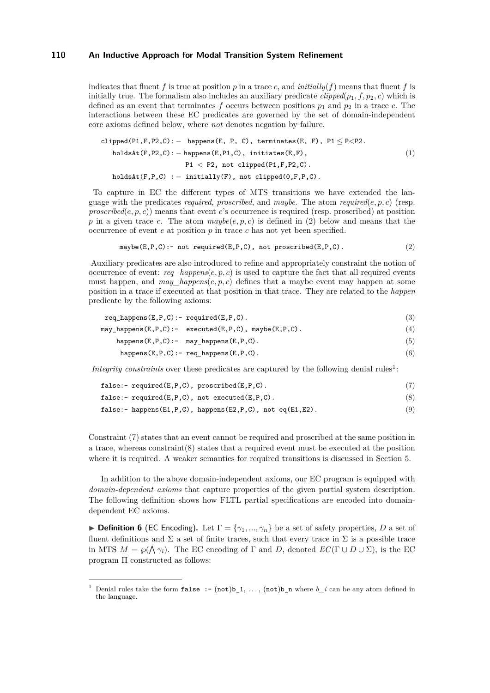indicates that fluent  $f$  is true at position  $p$  in a trace  $c$ , and  $\text{initial}(f)$  means that fluent  $f$  is initially true. The formalism also includes an auxiliary predicate  $clipped(p_1, f, p_2, c)$  which is defined as an event that terminates f occurs between positions  $p_1$  and  $p_2$  in a trace c. The interactions between these EC predicates are governed by the set of domain-independent core axioms defined below, where *not* denotes negation by failure.

$$
\begin{aligned}\n\text{clipped}(P1, F, P2, C): & - \text{ happens}(E, P, C), \text{ terminates}(E, F), P1 \leq P < P2. \\
\text{holdsAt}(F, P2, C): & - \text{happens}(E, P1, C), \text{initiates}(E, F), \\
& P1 < P2, \text{ not } \text{clipped}(P1, F, P2, C).\n\end{aligned}\n\tag{1}
$$
\n
$$
\text{holdsAt}(F, P, C): - \text{initially}(F), \text{not } \text{clipped}(0, F, P, C).
$$

To capture in EC the different types of MTS transitions we have extended the language with the predicates *required*, *proscribed*, and *maybe*. The atom *required*( $e, p, c$ ) (resp. *proscribed*(*e, p, c*)) means that event *e*'s occurrence is required (resp. proscribed) at position *p* in a given trace *c*. The atom  $maybe(e, p, c)$  is defined in [\(2\)](#page-4-0) below and means that the occurrence of event *e* at position *p* in trace *c* has not yet been specified.

<span id="page-4-0"></span>
$$
\mathtt{maybe(E,P,C)} := \mathtt{not}\ \mathtt{required(E,P,C)}\text{, not prescribed(E,P,C)}\text{.}\qquad \qquad (2)
$$

Auxiliary predicates are also introduced to refine and appropriately constraint the notion of occurrence of event:  $req \ happens(e, p, c)$  is used to capture the fact that all required events must happen, and *may\_happens* $(e, p, c)$  defines that a maybe event may happen at some position in a trace if executed at that position in that trace. They are related to the *happen* predicate by the following axioms:

$$
\texttt{req\_happens}(E, P, C) := \texttt{required}(E, P, C). \tag{3}
$$
\n
$$
\texttt{may\_happens}(E, P, C) := \texttt{executed}(E, P, C), \texttt{maybe}(E, P, C). \tag{4}
$$

happens(E, P, C) : - may\_happens(E, P, C). 
$$
(5)
$$

<span id="page-4-3"></span><span id="page-4-2"></span><span id="page-4-1"></span>
$$
happens(E, P, C) : - \text{ req_happens}(E, P, C) . \tag{6}
$$

*Integrity constraints* over these predicates are captured by the following denial rules<sup>1</sup>:

| false:- $required(E, P, C)$ , $proscribed(E, P, C)$ . |  |  |
|-------------------------------------------------------|--|--|
|-------------------------------------------------------|--|--|

| false:- $required(E, P, C)$ , not executed $(E, P, C)$ . |  |  |  |
|----------------------------------------------------------|--|--|--|
|----------------------------------------------------------|--|--|--|

```
false:- happens(E1,P,C), happens(E2,P,C), not eq(E1,E2). (9)
```
Constraint [\(7\)](#page-4-1) states that an event cannot be required and proscribed at the same position in a trace, whereas constraint[\(8\)](#page-4-2) states that a required event must be executed at the position where it is required. A weaker semantics for required transitions is discussed in Section [5.](#page-8-0)

In addition to the above domain-independent axioms, our EC program is equipped with *domain-dependent axioms* that capture properties of the given partial system description. The following definition shows how FLTL partial specifications are encoded into domaindependent EC axioms.

**Definition 6** (EC Encoding). Let  $\Gamma = \{\gamma_1, ..., \gamma_n\}$  be a set of safety properties, *D* a set of fluent definitions and  $\Sigma$  a set of finite traces, such that every trace in  $\Sigma$  is a possible trace in MTS  $M = \wp(\bigwedge \gamma_i)$ . The EC encoding of  $\Gamma$  and  $D$ , denoted  $EC(\Gamma \cup D \cup \Sigma)$ , is the EC program Π constructed as follows:

<sup>&</sup>lt;sup>1</sup> Denial rules take the form **false** :-  $(\text{not})$ b<sub>1</sub>, ...,  $(\text{not})$ b<sub>n</sub> where *b i* can be any atom defined in the language.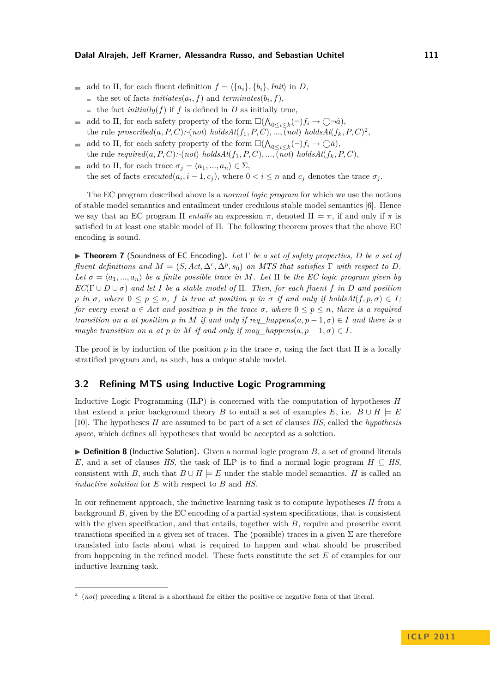- add to  $\Pi$ , for each fluent definition  $f = \langle \{a_i\}, \{b_i\}, \text{Init} \rangle$  in  $D$ ,
	- the set of facts *initiates*( $a_i$ ,  $f$ ) and *terminates*( $b_i$ ,  $f$ ),
	- the fact *initially*(*f*) if *f* is defined in *D* as initially true,
- add to  $\Pi$ , for each safety property of the form  $\square(\bigwedge_{0 \leq i \leq k} (\neg)f_i \to \bigcirc \neg \dot{a})$ , the rule  $proscribed(a, P, C)$ :-(not)  $holdsAt(f_1, P, C), \ldots, \overline{(not)}$   $holdsAt(f_k, P, C)^2$ ,
- add to  $\Pi$ , for each safety property of the form  $\square(\bigwedge_{0\leq i\leq k}(\neg)f_i\to\bigcirc\hat{a}),$  $\mathcal{L}^{\mathcal{A}}$ the rule  $required(a, P, C)$ :-( $not$ )  $holdsAt(f_1, P, C)$ ,...,( $not$ )  $holdsAt(f_k, P, C)$ ,
- add to  $\Pi$ , for each trace  $\sigma_j = \langle a_1, ..., a_n \rangle \in \Sigma$ ,  $\blacksquare$ the set of facts  $executed(a_i, i - 1, c_j)$ , where  $0 < i \leq n$  and  $c_j$  denotes the trace  $\sigma_j$ .

The EC program described above is a *normal logic program* for which we use the notions of stable model semantics and entailment under credulous stable model semantics [\[6\]](#page-10-10). Hence we say that an EC program  $\Pi$  *entails* an expression  $\pi$ , denoted  $\Pi \models \pi$ , if and only if  $\pi$  is satisfied in at least one stable model of Π. The following theorem proves that the above EC encoding is sound.

I **Theorem 7** (Soundness of EC Encoding)**.** *Let* Γ *be a set of safety properties, D be a set of fluent definitions and*  $M = (S, Act, \Delta^r, \Delta^p, s_0)$  *an MTS that satisfies*  $\Gamma$  *with respect to*  $D$ *. Let*  $\sigma = \langle a_1, ..., a_n \rangle$  *be a finite possible trace in M. Let*  $\Pi$  *be the EC logic program given by*  $EC(\Gamma \cup D \cup \sigma)$  *and let I be a stable model of*  $\Pi$ *. Then, for each fluent f in D and position p in*  $\sigma$ *, where*  $0 \leq p \leq n$ *, f is true at position p in*  $\sigma$  *if and only if holdsAt*(*f, p,*  $\sigma$ )  $\in$  *I; for every event*  $a \in Act$  *and position*  $p$  *in the trace*  $\sigma$ *, where*  $0 \leq p \leq n$ *, there is a required transition on a at position p in M if and only if req\_happens*( $a, p - 1, \sigma$ )  $\in$  *I and there is a maybe transition on a at p in M if and only if may happens* $(a, p-1, \sigma) \in I$ .

The proof is by induction of the position *p* in the trace  $\sigma$ , using the fact that  $\Pi$  is a locally stratified program and, as such, has a unique stable model.

## **3.2 Refining MTS using Inductive Logic Programming**

Inductive Logic Programming (ILP) is concerned with the computation of hypotheses *H* that extend a prior background theory *B* to entail a set of examples *E*, i.e.  $B \cup H \models E$ [\[10\]](#page-10-11). The hypotheses *H* are assumed to be part of a set of clauses *HS*, called the *hypothesis space*, which defines all hypotheses that would be accepted as a solution.

 $\triangleright$  **Definition 8** (Inductive Solution). Given a normal logic program  $B$ , a set of ground literals *E*, and a set of clauses *HS*, the task of ILP is to find a normal logic program  $H \subseteq HS$ , consistent with *B*, such that  $B \cup H \models E$  under the stable model semantics. *H* is called an *inductive solution* for *E* with respect to *B* and *HS*.

In our refinement approach, the inductive learning task is to compute hypotheses *H* from a background *B*, given by the EC encoding of a partial system specifications, that is consistent with the given specification, and that entails, together with *B*, require and proscribe event transitions specified in a given set of traces. The (possible) traces in a given  $\Sigma$  are therefore translated into facts about what is required to happen and what should be proscribed from happening in the refined model. These facts constitute the set *E* of examples for our inductive learning task.

<sup>2</sup> (*not*) preceding a literal is a shorthand for either the positive or negative form of that literal.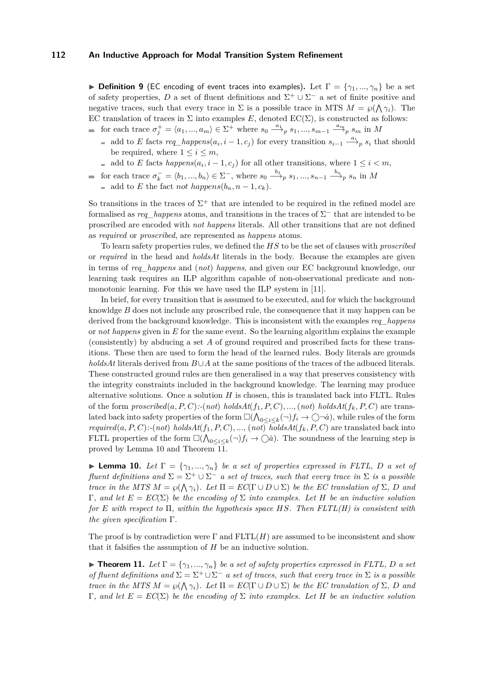**I Definition 9** (EC encoding of event traces into examples). Let  $\Gamma = \{\gamma_1, ..., \gamma_n\}$  be a set of safety properties, D a set of fluent definitions and  $\Sigma^+ \cup \Sigma^-$  a set of finite positive and negative traces, such that every trace in  $\Sigma$  is a possible trace in MTS  $M = \wp(\bigwedge \gamma_i)$ . The EC translation of traces in  $\Sigma$  into examples E, denoted EC( $\Sigma$ ), is constructed as follows: for each trace  $\sigma_j^+ = \langle a_1, ..., a_m \rangle \in \Sigma^+$  where  $s_0 \stackrel{a_1}{\longrightarrow}_p s_1, ..., s_{m-1} \stackrel{a_m}{\longrightarrow}_p s_m$  in M

- add to *E* facts  $req\_happens(a_i, i-1, c_j)$  for every transition  $s_{i-1} \stackrel{a_i}{\longrightarrow} s_i$  that should be required, where  $1 \leq i \leq m$ ,
- add to *E* facts  $happens(a_i, i-1, c_j)$  for all other transitions, where  $1 \leq i < m$ ,
- for each trace  $\sigma_k^- = \langle b_1, ..., b_n \rangle \in \Sigma^-$ , where  $s_0 \stackrel{b_1}{\longrightarrow}_p s_1, ..., s_{n-1} \stackrel{b_n}{\longrightarrow}_p s_n$  in M  $\blacksquare$  add to *E* the fact *not happens* $(b_n, n-1, c_k)$ .

So transitions in the traces of  $\Sigma^+$  that are intended to be required in the refined model are formalised as  $req\_happens$  atoms, and transitions in the traces of  $\Sigma^-$  that are intended to be proscribed are encoded with *not happens* literals. All other transitions that are not defined as *required* or *proscribed*, are represented as *happens* atoms.

To learn safety properties rules, we defined the *HS* to be the set of clauses with *proscribed* or *required* in the head and *holdsAt* literals in the body. Because the examples are given in terms of *req\_happens* and (*not*) *happens*, and given our EC background knowledge, our learning task requires an ILP algorithm capable of non-observational predicate and nonmonotonic learning. For this we have used the ILP system in [\[11\]](#page-10-12).

In brief, for every transition that is assumed to be executed, and for which the background knowldge *B* does not include any proscribed rule, the consequence that it may happen can be derived from the background knowledge. This is inconsistent with the examples *req\_happens* or *not happens* given in *E* for the same event. So the learning algorithm explains the example (consistently) by abducing a set *A* of ground required and proscribed facts for these transitions. These then are used to form the head of the learned rules. Body literals are grounds *holdsAt* literals derived from *B*∪*A* at the same positions of the traces of the adbuced literals. These constructed ground rules are then generalised in a way that preserves consistency with the integrity constraints included in the background knowledge. The learning may produce alternative solutions. Once a solution *H* is chosen, this is translated back into FLTL. Rules of the form  $proscribed(a, P, C)$ :-(not) holds $At(f_1, P, C)$ , ..., (not) holds $At(f_k, P, C)$  are translated back into safety properties of the form  $\square(\bigwedge_{0\leq i\leq k}(\neg)f_i\to\bigcirc\neg\dot{a})$ , while rules of the form *required*(*a, P, C*):-(*not*) *holdsAt*( $f_1, P, C$ ), ..., (*not*) *holdsAt*( $f_k, P, C$ ) are translated back into FLTL properties of the form  $\square(\bigwedge_{0\leq i\leq k}(\neg)f_i\to\bigcirc\dot{a})$ . The soundness of the learning step is proved by Lemma [10](#page-6-0) and Theorem [11.](#page-6-1)

<span id="page-6-0"></span>**Lemma 10.** *Let*  $\Gamma = \{\gamma_1, ..., \gamma_n\}$  *be a set of properties expressed in FLTL, D a set of fluent definitions and*  $\Sigma = \Sigma^+ \cup \Sigma^-$  *a set of traces, such that every trace in*  $\Sigma$  *is a possible trace in the MTS*  $M = \wp(\bigwedge \gamma_i)$ *. Let*  $\Pi = EC(\Gamma \cup D \cup \Sigma)$  *be the EC translation of*  $\Sigma$ *, D and* Γ*, and let E* = *EC*(Σ) *be the encoding of* Σ *into examples. Let H be an inductive solution for E with respect to* Π*, within the hypothesis space HS. Then FLTL(H) is consistent with the given specification* Γ*.*

The proof is by contradiction were  $\Gamma$  and  $FLTL(H)$  are assumed to be inconsistent and show that it falsifies the assumption of *H* be an inductive solution.

<span id="page-6-1"></span>**Theorem 11.** Let  $\Gamma = \{\gamma_1, ..., \gamma_n\}$  be a set of safety properties expressed in FLTL, D a set *of fluent definitions and*  $\Sigma = \Sigma^+ \cup \Sigma^-$  *a set of traces, such that every trace in*  $\Sigma$  *is a possible trace in the MTS*  $M = \wp(\bigwedge \gamma_i)$ *. Let*  $\Pi = EC(\Gamma \cup D \cup \Sigma)$  *be the EC translation of*  $\Sigma$ *, D and* Γ*, and let E* = *EC*(Σ) *be the encoding of* Σ *into examples. Let H be an inductive solution*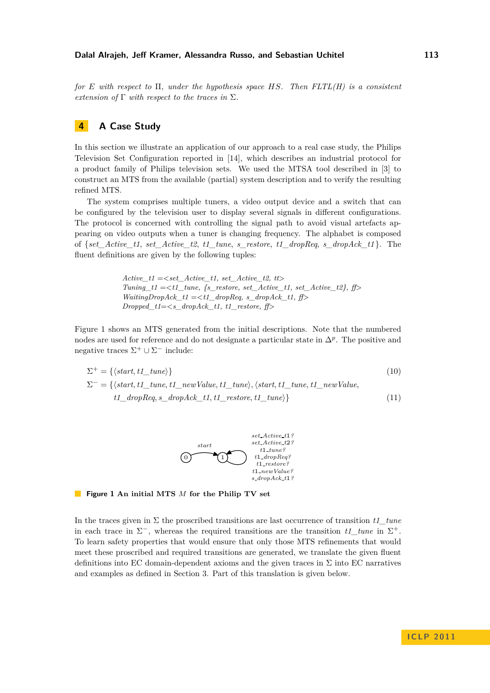*for E with respect to* Π*, under the hypothesis space HS. Then FLTL(H) is a consistent extension of* Γ *with respect to the traces in* Σ*.*

# **4 A Case Study**

In this section we illustrate an application of our approach to a real case study, the Philips Television Set Configuration reported in [\[14\]](#page-10-13), which describes an industrial protocol for a product family of Philips television sets. We used the MTSA tool described in [\[3\]](#page-10-7) to construct an MTS from the available (partial) system description and to verify the resulting refined MTS.

The system comprises multiple tuners, a video output device and a switch that can be configured by the television user to display several signals in different configurations. The protocol is concerned with controlling the signal path to avoid visual artefacts appearing on video outputs when a tuner is changing frequency. The alphabet is composed of {*set\_Active\_t1*, *set\_Active\_t2*, *t1\_tune*, *s\_restore*, *t1\_dropReq*, *s\_dropAck\_t1* }. The fluent definitions are given by the following tuples:

> $Active_t1 = < set\_Active_t1, set\_Active_t2, tt>$ *Tuning\_t1* =*<t1\_tune, {s\_restore, set\_Active\_t1, set\_Active\_t2}, ff>*  $WaitingDropack$   $t1 = < t1$  dropReq, s dropAck  $t1$ , ff *Dropped\_t1*=*<s\_dropAck\_t1, t1\_restore, ff>*

Figure [1](#page-7-0) shows an MTS generated from the initial descriptions. Note that the numbered nodes are used for reference and do not designate a particular state in ∆*<sup>p</sup>* . The positive and negative traces  $\Sigma^+ \cup \Sigma^-$  include:

<span id="page-7-0"></span>
$$
\Sigma^{+} = \{ \langle start, t1\_tune \rangle \}
$$
\n
$$
\Sigma^{-} = \{ \langle start, t1\_tune, t1\_newValue, t1\_tune \rangle, \langle start, t1\_tune, t1\_newValue, t1\_dropReg, s\_dropAck\_t1, t1\_restore, t1\_tune \rangle \}
$$
\n
$$
(11)
$$



**Figure 1 An initial MTS** *M* **for the Philip TV set**

In the traces given in Σ the proscribed transitions are last occurrence of transition *t1\_tune* in each trace in  $\Sigma^-$ , whereas the required transitions are the transition  $t1$ \_tune in  $\Sigma^+$ . To learn safety properties that would ensure that only those MTS refinements that would meet these proscribed and required transitions are generated, we translate the given fluent definitions into EC domain-dependent axioms and the given traces in  $\Sigma$  into EC narratives and examples as defined in Section [3.](#page-3-0) Part of this translation is given below.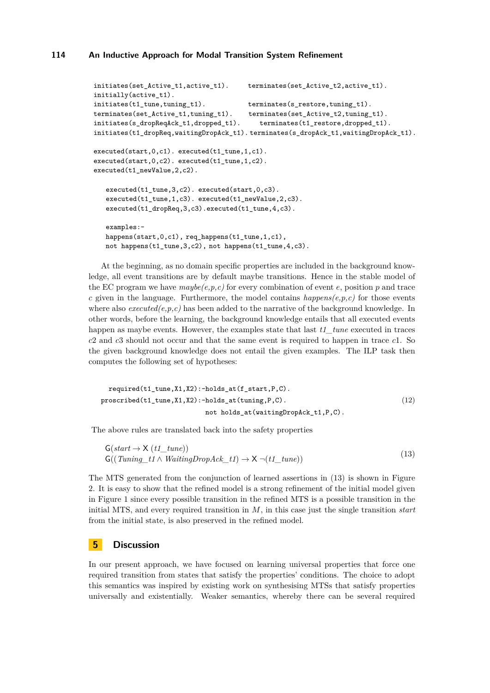```
initiates(set_Active_t1,active_t1). terminates(set_Active_t2,active_t1).
initially(active_t1).
initiates(t1_tune,tuning_t1). terminates(s_restore,tuning_t1).
terminates(set Active t1,tuning t1). terminates(set Active t2,tuning t1).
initiates(s_dropReqAck_t1,dropped_t1). terminates(t1_restore,dropped_t1).
initiates(t1_dropReq,waitingDropAck_t1). terminates(s_dropAck_t1,waitingDropAck_t1).
executed(start, 0,c1). executed(t1_tune, 1,c1).
executed(start,0,c2). executed(t1_tune,1,c2).
executed(t1_newValue,2,c2).
   executed(t1_tune,3,c2). executed(start,0,c3).
   executed(t1_tune,1,c3). executed(t1_newValue,2,c3).
   executed(t1_dropReq,3,c3).executed(t1_tune,4,c3).
   examples:-
   happens(start,0,c1), req_happens(t1_tune,1,c1),
   not happens(t1_tune,3,c2), not happens(t1_tune,4,c3).
```
At the beginning, as no domain specific properties are included in the background knowledge, all event transitions are by default maybe transitions. Hence in the stable model of the EC program we have  $maybe(e, p, c)$  for every combination of event  $e$ , position  $p$  and trace *c* given in the language. Furthermore, the model contains  $happens(e,p,c)$  for those events where also  $executed(e, p, c)$  has been added to the narrative of the background knowledge. In other words, before the learning, the background knowledge entails that all executed events happen as maybe events. However, the examples state that last *t1\_tune* executed in traces *c*2 and *c*3 should not occur and that the same event is required to happen in trace *c*1. So the given background knowledge does not entail the given examples. The ILP task then computes the following set of hypotheses:

required(t1\_tune,X1,X2):-holds\_at(f\_start,P,C). proscribed(t1\_tune,X1,X2):-holds\_at(tuning,P,C). (12) not holds\_at(waitingDropAck\_t1,P,C).

The above rules are translated back into the safety properties

<span id="page-8-1"></span>
$$
G(start \to X(t1_tune))
$$
  
G((Tuning\_t1 \land WaitingDropack\_t1) \to X \neg(t1\_tune)) (13)

The MTS generated from the conjunction of learned assertions in [\(13\)](#page-8-1) is shown in Figure [2.](#page-9-0) It is easy to show that the refined model is a strong refinement of the initial model given in Figure [1](#page-7-0) since every possible transition in the refined MTS is a possible transition in the initial MTS, and every required transition in *M*, in this case just the single transition *start* from the initial state, is also preserved in the refined model.

## <span id="page-8-0"></span>**5 Discussion**

In our present approach, we have focused on learning universal properties that force one required transition from states that satisfy the properties' conditions. The choice to adopt this semantics was inspired by existing work on synthesising MTSs that satisfy properties universally and existentially. Weaker semantics, whereby there can be several required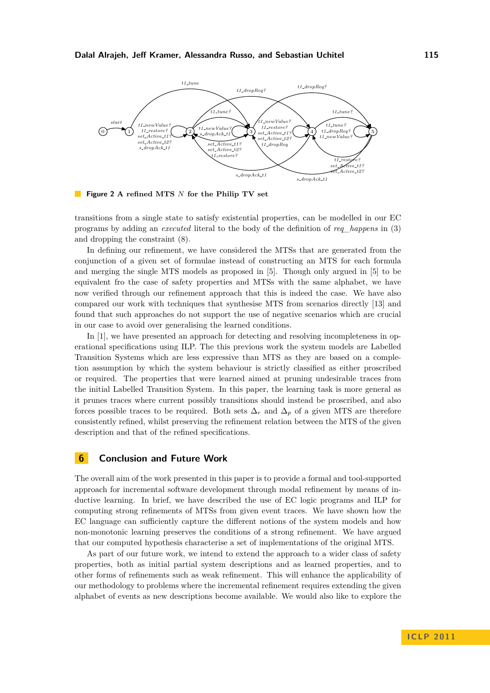<span id="page-9-0"></span>

**Figure 2 A refined MTS** *N* **for the Philip TV set**

transitions from a single state to satisfy existential properties, can be modelled in our EC programs by adding an *executed* literal to the body of the definition of *req\_happens* in [\(3\)](#page-4-3) and dropping the constraint [\(8\)](#page-4-2).

In defining our refinement, we have considered the MTSs that are generated from the conjunction of a given set of formulae instead of constructing an MTS for each formula and merging the single MTS models as proposed in [\[5\]](#page-10-14). Though only argued in [\[5\]](#page-10-14) to be equivalent fro the case of safety properties and MTSs with the same alphabet, we have now verified through our refinement approach that this is indeed the case. We have also compared our work with techniques that synthesise MTS from scenarios directly [\[13\]](#page-10-8) and found that such approaches do not support the use of negative scenarios which are crucial in our case to avoid over generalising the learned conditions.

In [\[1\]](#page-10-4), we have presented an approach for detecting and resolving incompleteness in operational specifications using ILP. The this previous work the system models are Labelled Transition Systems which are less expressive than MTS as they are based on a completion assumption by which the system behaviour is strictly classified as either proscribed or required. The properties that were learned aimed at pruning undesirable traces from the initial Labelled Transition System. In this paper, the learning task is more general as it prunes traces where current possibly transitions should instead be proscribed, and also forces possible traces to be required. Both sets  $\Delta_r$  and  $\Delta_p$  of a given MTS are therefore consistently refined, whilst preserving the refinement relation between the MTS of the given description and that of the refined specifications.

## **6 Conclusion and Future Work**

The overall aim of the work presented in this paper is to provide a formal and tool-supported approach for incremental software development through modal refinement by means of inductive learning. In brief, we have described the use of EC logic programs and ILP for computing strong refinements of MTSs from given event traces. We have shown how the EC language can sufficiently capture the different notions of the system models and how non-monotonic learning preserves the conditions of a strong refinement. We have argued that our computed hypothesis characterise a set of implementations of the original MTS.

As part of our future work, we intend to extend the approach to a wider class of safety properties, both as initial partial system descriptions and as learned properties, and to other forms of refinements such as weak refinement. This will enhance the applicability of our methodology to problems where the incremental refinement requires extending the given alphabet of events as new descriptions become available. We would also like to explore the